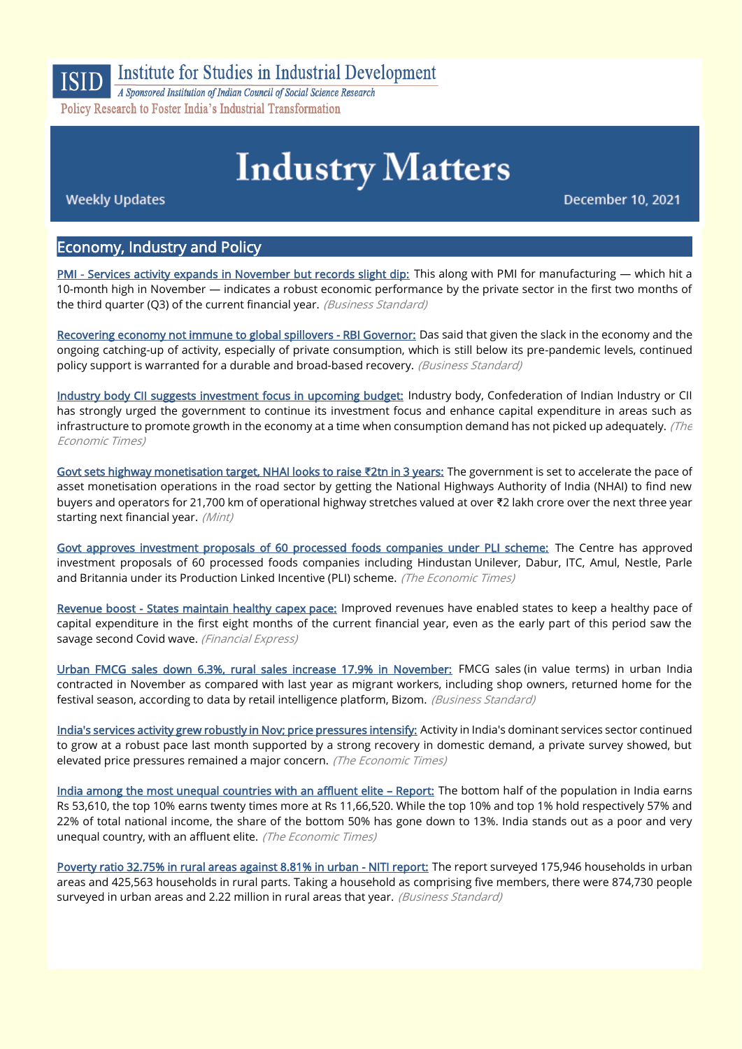

# **Institute for Studies in Industrial Development**

A Sponsored Institution of Indian Council of Social Science Research Policy Research to Foster India's Industrial Transformation

# **Industry Matters**

**Weekly Updates** 

December 10, 2021

# Economy, Industry and Policy

[PMI - Services activity expands in November but records slight dip:](https://www.business-standard.com/article/economy-policy/pmi-services-activity-expands-in-november-but-records-slight-dip-121120400016_1.html) This along with PMI for manufacturing — which hit a 10-month high in November — indicates a robust economic performance by the private sector in the first two months of the third quarter (Q3) of the current financial year. (Business Standard)

[Recovering economy not immune to global spillovers - RBI Governor:](https://www.business-standard.com/article/economy-policy/recovering-economy-not-immune-to-global-spillovers-rbi-governor-121120800645_1.html) Das said that given the slack in the economy and the ongoing catching-up of activity, especially of private consumption, which is still below its pre-pandemic levels, continued policy support is warranted for a durable and broad-based recovery. (Business Standard)

[Industry body CII suggests investment focus in upcoming budget:](https://economictimes.indiatimes.com/news/economy/policy/industry-body-cii-suggests-investment-focus-in-upcoming-budget/articleshow/88170012.cms) Industry body, Confederation of Indian Industry or CII has strongly urged the government to continue its investment focus and enhance capital expenditure in areas such as infrastructure to promote growth in the economy at a time when consumption demand has not picked up adequately. (The Economic Times)

[Govt sets highway monetisation target, NHAI looks to raise](https://www.livemint.com/industry/infrastructure/govt-sets-highway-monetisation-target-nhai-looks-to-raise-2l-crore-in-3-years-11638775605050.html) **₹**2tn in 3 years: The government is set to accelerate the pace of asset monetisation operations in the road sector by getting the National Highways Authority of India (NHAI) to find new buyers and operators for 21,700 km of operational highway stretches valued at over ₹2 lakh crore over the next three year starting next financial year. (Mint)

[Govt approves investment proposals of 60 processed foods companies under PLI scheme:](https://economictimes.indiatimes.com/industry/cons-products/fmcg/govt-approves-investment-proposals-of-60-processed-foods-companies-under-pli-scheme/articleshow/88128479.cms) The Centre has approved investment proposals of 60 processed foods companies including Hindustan Unilever, Dabur, ITC, Amul, Nestle, Parle and Britannia under its Production Linked Incentive (PLI) scheme. (The Economic Times)

[Revenue boost - States maintain healthy capex pace:](https://www.financialexpress.com/economy/revenue-boost-states-maintain-healthy-capex-pace/2382575/) Improved revenues have enabled states to keep a healthy pace of capital expenditure in the first eight months of the current financial year, even as the early part of this period saw the savage second Covid wave. (Financial Express)

[Urban FMCG sales down 6.3%, rural sales increase 17.9% in November:](https://www.business-standard.com/article/companies/urban-fmcg-sales-down-6-3-rural-sales-increase-17-9-in-november-121120301659_1.html) FMCG sales (in value terms) in urban India contracted in November as compared with last year as migrant workers, including shop owners, returned home for the festival season, according to data by retail intelligence platform, Bizom. (Business Standard)

[India's services activity grew robustly in Nov; price pressures intensify:](https://economictimes.indiatimes.com/news/economy/indicators/indias-services-activity-grew-robustly-in-nov-price-pressures-intensify/articleshow/88065048.cms) Activity in India's dominant services sector continued to grow at a robust pace last month supported by a strong recovery in domestic demand, a private survey showed, but elevated price pressures remained a major concern. (The Economic Times)

[India among the most unequal countries with an affluent elite](https://economictimes.indiatimes.com/news/economy/indicators/india-among-the-most-unequal-countries-with-an-affluent-elite-report/articleshow/88154715.cms) – Report: The bottom half of the population in India earns Rs 53,610, the top 10% earns twenty times more at Rs 11,66,520. While the top 10% and top 1% hold respectively 57% and 22% of total national income, the share of the bottom 50% has gone down to 13%. India stands out as a poor and very unequal country, with an affluent elite. (The Economic Times)

[Poverty ratio 32.75% in rural areas against 8.81% in urban - NITI report:](https://www.business-standard.com/article/economy-policy/poverty-ratio-32-75-in-rural-areas-against-8-81-in-urban-niti-report-121120500971_1.html) The report surveyed 175,946 households in urban areas and 425,563 households in rural parts. Taking a household as comprising five members, there were 874,730 people surveyed in urban areas and 2.22 million in rural areas that year. (Business Standard)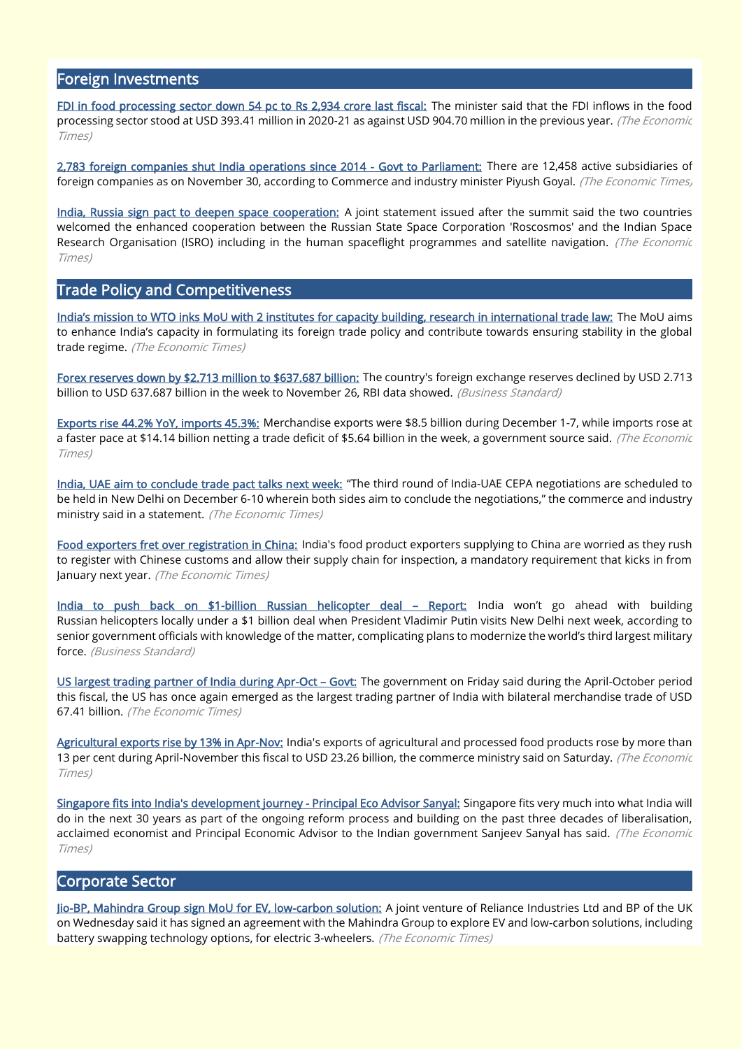#### Foreign Investments

[FDI in food processing sector down 54 pc to Rs 2,934 crore last fiscal:](https://economictimes.indiatimes.com/news/economy/finance/fdi-in-food-processing-sector-down-54-pc-to-rs-2934-crore-last-fiscal/articleshow/88070611.cms) The minister said that the FDI inflows in the food processing sector stood at USD 393.41 million in 2020-21 as against USD 904.70 million in the previous year. (The Economic Times)

[2,783 foreign companies shut India operations since 2014 - Govt to Parliament:](https://economictimes.indiatimes.com/news/economy/indicators/2783-foreign-companies-shut-india-operations-govt-to-parliament/articleshow/88170984.cms) There are 12,458 active subsidiaries of foreign companies as on November 30, according to Commerce and industry minister Piyush Goyal. (The Economic Times)

[India, Russia sign pact to deepen space cooperation:](https://economictimes.indiatimes.com/news/science/india-russia-sign-pact-to-deepen-space-cooperation/articleshow/88130854.cms) A joint statement issued after the summit said the two countries welcomed the enhanced cooperation between the Russian State Space Corporation 'Roscosmos' and the Indian Space Research Organisation (ISRO) including in the human spaceflight programmes and satellite navigation. (The Economic Times)

#### Trade Policy and Competitiveness

[India's mission to WTO inks MoU with 2 institutes for capacity building, research in international trade law:](https://economictimes.indiatimes.com/news/economy/foreign-trade/indias-mission-to-wto-inks-mou-with-2-institutes-for-capacity-building-research-in-international-trade-law/articleshow/88148439.cms?from=mdr) The MoU aims to enhance India's capacity in formulating its foreign trade policy and contribute towards ensuring stability in the global trade regime. (The Economic Times)

[Forex reserves down by \\$2.713 million to \\$637.687 billion:](https://www.business-standard.com/article/finance/forex-reserves-down-by-2-713-million-to-637-687-billion-121120301019_1.html) The country's foreign exchange reserves declined by USD 2.713 billion to USD 637.687 billion in the week to November 26, RBI data showed. (Business Standard)

[Exports rise 44.2% YoY, imports 45.3%:](https://economictimes.indiatimes.com/news/economy/indicators/exports-rise-44-2-yoy-imports-45-3/articleshow/88176232.cms) Merchandise exports were \$8.5 billion during December 1-7, while imports rose at a faster pace at \$14.14 billion netting a trade deficit of \$5.64 billion in the week, a government source said. (The Economic Times)

[India, UAE aim to conclude trade pact talks next week:](https://economictimes.indiatimes.com/news/economy/foreign-trade/india-uae-aim-to-conclude-trade-pact-talks-next-week/articleshow/88077224.cms) "The third round of India-UAE CEPA negotiations are scheduled to be held in New Delhi on December 6-10 wherein both sides aim to conclude the negotiations," the commerce and industry ministry said in a statement. (The Economic Times)

[Food exporters fret over registration in China:](https://economictimes.indiatimes.com/news/economy/foreign-trade/food-exporters-fret-over-registration-in-china/articleshow/88151864.cms) India's food product exporters supplying to China are worried as they rush to register with Chinese customs and allow their supply chain for inspection, a mandatory requirement that kicks in from January next year. (The Economic Times)

[India to push back on \\$1-billion Russian helicopter deal](https://www.business-standard.com/article/current-affairs/india-to-push-back-on-1-billion-russian-helicopter-deal-report-121120301230_1.html) - Report: India won't go ahead with building Russian helicopters locally under a \$1 billion deal when President Vladimir Putin visits New Delhi next week, according to senior government officials with knowledge of the matter, complicating plans to modernize the world's third largest military force. (Business Standard)

[US largest trading partner of India during Apr-Oct](https://economictimes.indiatimes.com/news/economy/foreign-trade/us-largest-trading-partner-of-india-during-apr-oct-govt/articleshow/88072704.cms) – Govt: The government on Friday said during the April-October period this fiscal, the US has once again emerged as the largest trading partner of India with bilateral merchandise trade of USD 67.41 billion. (The Economic Times)

[Agricultural exports rise by 13% in Apr-Nov:](https://economictimes.indiatimes.com/small-biz/trade/exports/insights/agricultural-exports-rise-by-13-in-apr-nov/articleshow/88101107.cms) India's exports of agricultural and processed food products rose by more than 13 per cent during April-November this fiscal to USD 23.26 billion, the commerce ministry said on Saturday. (The Economic Times)

[Singapore fits into India's development journey - Principal Eco Advisor Sanyal:](https://economictimes.indiatimes.com/news/economy/policy/singapore-fits-into-indias-development-journey-principal-eco-advisor-sanyal/articleshow/88071808.cms) Singapore fits very much into what India will do in the next 30 years as part of the ongoing reform process and building on the past three decades of liberalisation, acclaimed economist and Principal Economic Advisor to the Indian government Sanjeev Sanyal has said. (The Economic Times)

#### Corporate Sector

[Jio-BP, Mahindra Group sign MoU for EV, low-carbon solution:](https://economictimes.indiatimes.com/markets/companies/jio-bp-mahindra-group-sign-mou-for-ev-low-carbon-solution/articleshow/88166379.cms) A joint venture of Reliance Industries Ltd and BP of the UK on Wednesday said it has signed an agreement with the Mahindra Group to explore EV and low-carbon solutions, including battery swapping technology options, for electric 3-wheelers. (The Economic Times)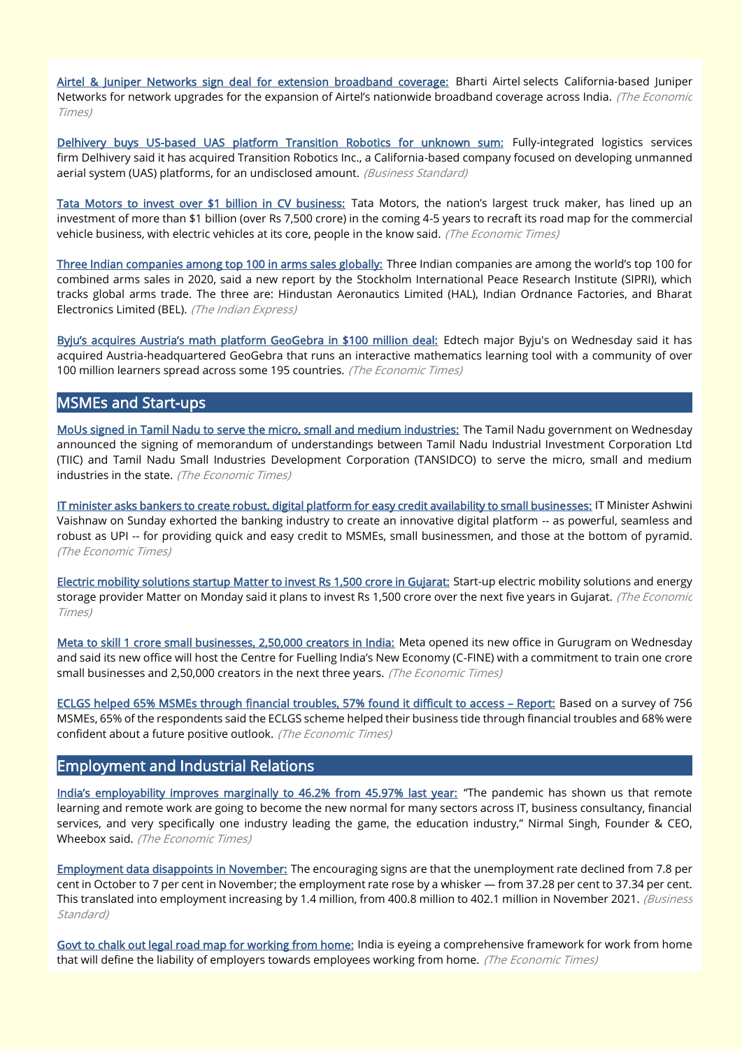[Airtel & Juniper Networks sign deal for extension broadband coverage:](https://economictimes.indiatimes.com/industry/telecom/telecom-news/airtel-juniper-networks-sign-deal-for-extension-broadband-coverage/articleshow/88160176.cms) Bharti Airtel selects California-based Juniper Networks for network upgrades for the expansion of Airtel's nationwide broadband coverage across India. (The Economic Times)

[Delhivery buys US-based UAS platform Transition Robotics for unknown sum:](https://www.business-standard.com/article/companies/delhivery-buys-us-based-uas-platform-transition-robotics-for-unknown-sum-121120800805_1.html) Fully-integrated logistics services firm Delhivery said it has acquired Transition Robotics Inc., a California-based company focused on developing unmanned aerial system (UAS) platforms, for an undisclosed amount. (Business Standard)

[Tata Motors to invest over \\$1 billion in CV business:](https://economictimes.indiatimes.com/industry/auto/auto-news/tata-motors-to-invest-over-1-billion-in-cv-business/articleshow/88176288.cms) Tata Motors, the nation's largest truck maker, has lined up an investment of more than \$1 billion (over Rs 7,500 crore) in the coming 4-5 years to recraft its road map for the commercial vehicle business, with electric vehicles at its core, people in the know said. (The Economic Times)

[Three Indian companies among top 100 in arms sales globally:](https://indianexpress.com/article/india/three-indian-companies-among-top-100-in-arms-sales-globally-7659899/) Three Indian companies are among the world's top 100 for combined arms sales in 2020, said a new report by the Stockholm International Peace Research Institute (SIPRI), which tracks global arms trade. The three are: Hindustan Aeronautics Limited (HAL), Indian Ordnance Factories, and Bharat Electronics Limited (BEL). (The Indian Express)

[Byju's acquires Austria's math platform GeoGebra in \\$100 million deal:](https://economictimes.indiatimes.com/tech/startups/byjus-acquires-austria-based-math-platform-geogebra/articleshow/88162698.cms) Edtech major Byju's on Wednesday said it has acquired Austria-headquartered GeoGebra that runs an interactive mathematics learning tool with a community of over 100 million learners spread across some 195 countries. (The Economic Times)

### MSMEs and Start-ups

[MoUs signed in Tamil Nadu to serve the micro, small and medium industries:](https://economictimes.indiatimes.com/news/economy/policy/mous-signed-in-tamil-nadu-to-serve-the-micro-small-and-medium-industries/articleshow/88172239.cms) The Tamil Nadu government on Wednesday announced the signing of memorandum of understandings between Tamil Nadu Industrial Investment Corporation Ltd (TIIC) and Tamil Nadu Small Industries Development Corporation (TANSIDCO) to serve the micro, small and medium industries in the state. (The Economic Times)

[IT minister asks bankers to create robust, digital platform for easy credit availability to small businesses:](https://economictimes.indiatimes.com/industry/banking/finance/banking/it-minister-asks-bankers-to-create-robust-digital-platform-for-easy-credit-availability-to-small-businesses/articleshow/88105040.cms) IT Minister Ashwini Vaishnaw on Sunday exhorted the banking industry to create an innovative digital platform -- as powerful, seamless and robust as UPI -- for providing quick and easy credit to MSMEs, small businessmen, and those at the bottom of pyramid. (The Economic Times)

[Electric mobility solutions startup Matter to invest Rs 1,500 crore in Gujarat:](https://economictimes.indiatimes.com/industry/renewables/electric-mobility-solutions-startup-matter-to-invest-rs-1500-crore-in-gujarat/articleshow/88129229.cms) Start-up electric mobility solutions and energy storage provider Matter on Monday said it plans to invest Rs 1,500 crore over the next five years in Gujarat. (The Economic Times)

[Meta to skill 1 crore small businesses, 2,50,000 creators in India:](https://economictimes.indiatimes.com/small-biz/sme-sector/meta-to-skill-1-crore-small-businesses-250000-creators-in-india/articleshow/88160478.cms) Meta opened its new office in Gurugram on Wednesday and said its new office will host the Centre for Fuelling India's New Economy (C-FINE) with a commitment to train one crore small businesses and 2,50,000 creators in the next three years. (The Economic Times)

[ECLGS helped 65% MSMEs through financial troubles, 57% found it difficult to access](https://economictimes.indiatimes.com/small-biz/sme-sector/eclgs-scheme-helped-65-msmes-through-financial-troubles-report/articleshow/88184052.cms) – Report: Based on a survey of 756 MSMEs, 65% of the respondents said the ECLGS scheme helped their business tide through financial troubles and 68% were confident about a future positive outlook. (The Economic Times)

#### Employment and Industrial Relations

[India's employability improves marginally to 46.2% from 45.97% last year:](https://economictimes.indiatimes.com/jobs/indias-employability-improves-marginally-to-46-2-up-from-45-97-last-year/articleshow/88186260.cms) "The pandemic has shown us that remote learning and remote work are going to become the new normal for many sectors across IT, business consultancy, financial services, and very specifically one industry leading the game, the education industry," Nirmal Singh, Founder & CEO, Wheebox said. (The Economic Times)

[Employment data disappoints in November:](https://www.business-standard.com/article/opinion/employment-data-disappoints-in-november-121120601138_1.html) The encouraging signs are that the unemployment rate declined from 7.8 per cent in October to 7 per cent in November; the employment rate rose by a whisker — from 37.28 per cent to 37.34 per cent. This translated into employment increasing by 1.4 million, from 400.8 million to 402.1 million in November 2021. (Business Standard)

[Govt to chalk out legal road map for working from home:](https://economictimes.indiatimes.com/news/economy/policy/govt-to-chalk-out-legal-road-map-for-working-from-home/articleshow/88113833.cms) India is eyeing a comprehensive framework for work from home that will define the liability of employers towards employees working from home. (The Economic Times)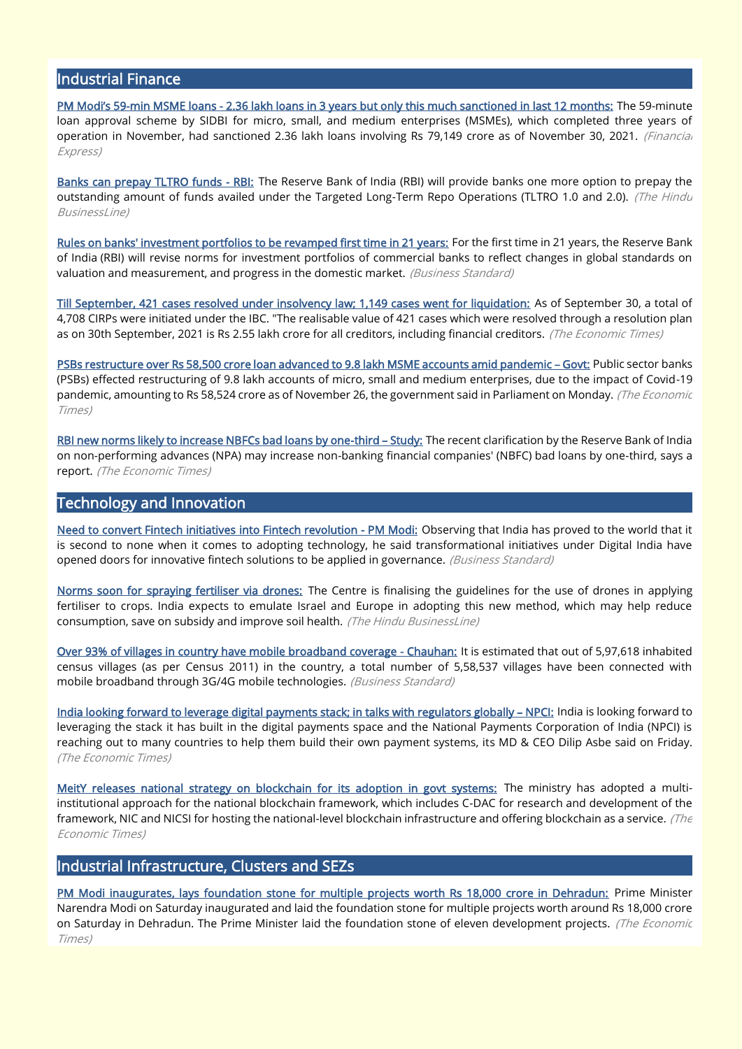# Industrial Finance

PM Modi's 59[-min MSME loans - 2.36 lakh loans in 3 years but only this much sanctioned in last 12 months:](https://www.financialexpress.com/industry/sme/msme-fin-pm-modis-59-min-msme-loans-2-36-lakh-loans-in-3-years-but-only-this-much-sanctioned-in-last-12-months/2384787/?from=others) The 59-minute loan approval scheme by SIDBI for micro, small, and medium enterprises (MSMEs), which completed three years of operation in November, had sanctioned 2.36 lakh loans involving Rs 79.149 crore as of November 30, 2021. (Financial Express)

[Banks can prepay TLTRO funds - RBI:](https://www.thehindubusinessline.com/money-and-banking/banks-can-prepay-tltro-funds-rbi/article37902270.ece) The Reserve Bank of India (RBI) will provide banks one more option to prepay the outstanding amount of funds availed under the Targeted Long-Term Repo Operations (TLTRO 1.0 and 2.0). (The Hindu BusinessLine)

[Rules on banks' investment portfolios to be revamped first time in 21 years:](https://www.business-standard.com/article/economy-policy/rules-on-banks-investment-portfolios-to-be-revamped-first-time-in-21-years-121120900024_1.html) For the first time in 21 years, the Reserve Bank of India (RBI) will revise norms for investment portfolios of commercial banks to reflect changes in global standards on valuation and measurement, and progress in the domestic market. (Business Standard)

[Till September, 421 cases resolved under insolvency law; 1,149 cases went for liquidation:](https://economictimes.indiatimes.com/news/economy/finance/till-september-421-cases-resolved-under-insolvency-law-1149-cases-went-for-liquidation/articleshow/88147977.cms) As of September 30, a total of 4,708 CIRPs were initiated under the IBC. "The realisable value of 421 cases which were resolved through a resolution plan as on 30th September, 2021 is Rs 2.55 lakh crore for all creditors, including financial creditors. (The Economic Times)

[PSBs restructure over Rs 58,500 crore loan advanced to 9.8 lakh MSME accounts amid pandemic](https://economictimes.indiatimes.com/small-biz/sme-sector/psbs-restructure-over-rs-58500-crore-loan-advanced-to-9-8-lakh-msme-accounts-amid-pandemic-govt/articleshow/88136617.cms) – Govt: Public sector banks (PSBs) effected restructuring of 9.8 lakh accounts of micro, small and medium enterprises, due to the impact of Covid-19 pandemic, amounting to Rs 58,524 crore as of November 26, the government said in Parliament on Monday. (The Economic Times)

[RBI new norms likely to increase NBFCs bad loans by one-third](https://economictimes.indiatimes.com/news/economy/policy/rbi-new-norms-likely-to-increase-nbfcs-bad-loans-by-one-third-study/articleshow/88071412.cms) – Study: The recent clarification by the Reserve Bank of India on non-performing advances (NPA) may increase non-banking financial companies' (NBFC) bad loans by one-third, says a report. (The Economic Times)

#### Technology and Innovation

[Need to convert Fintech initiatives into Fintech revolution - PM Modi:](https://www.business-standard.com/article/current-affairs/need-to-convert-fintech-initiatives-into-fintech-revolution-pm-modi-121120300364_1.html) Observing that India has proved to the world that it is second to none when it comes to adopting technology, he said transformational initiatives under Digital India have opened doors for innovative fintech solutions to be applied in governance. (Business Standard)

[Norms soon for spraying fertiliser via drones:](https://www.thehindubusinessline.com/todays-paper/article37891383.ece) The Centre is finalising the guidelines for the use of drones in applying fertiliser to crops. India expects to emulate Israel and Europe in adopting this new method, which may help reduce consumption, save on subsidy and improve soil health. (The Hindu BusinessLine)

[Over 93% of villages in country have mobile broadband coverage - Chauhan:](https://www.business-standard.com/article/pti-stories/over-93-pc-of-villages-in-country-have-mobile-broadband-coverage-chauhan-121120800970_1.html) It is estimated that out of 5,97,618 inhabited census villages (as per Census 2011) in the country, a total number of 5,58,537 villages have been connected with mobile broadband through 3G/4G mobile technologies. (Business Standard)

[India looking forward to leverage digital payments stack; in talks with regulators globally](https://economictimes.indiatimes.com/news/economy/policy/india-looking-forward-to-leverage-digital-payments-stack-in-talks-with-regulators-globally-npci/articleshow/88069574.cms) – NPCI: India is looking forward to leveraging the stack it has built in the digital payments space and the National Payments Corporation of India (NPCI) is reaching out to many countries to help them build their own payment systems, its MD & CEO Dilip Asbe said on Friday. (The Economic Times)

[MeitY releases national strategy on blockchain for its adoption in govt systems:](https://economictimes.indiatimes.com/news/economy/policy/meity-releases-national-strategy-on-blockchain-for-its-adoption-in-govt-systems/articleshow/88077703.cms) The ministry has adopted a multiinstitutional approach for the national blockchain framework, which includes C-DAC for research and development of the framework, NIC and NICSI for hosting the national-level blockchain infrastructure and offering blockchain as a service. (The Economic Times)

## Industrial Infrastructure, Clusters and SEZs

[PM Modi inaugurates, lays foundation stone for multiple projects worth Rs 18,000 crore in Dehradun:](https://economictimes.indiatimes.com/news/economy/infrastructure/pm-modi-inaugurates-lays-foundation-stone-for-multiple-projects-worth-rs-18000-crore-in-dehradun/articleshow/88089493.cms) Prime Minister Narendra Modi on Saturday inaugurated and laid the foundation stone for multiple projects worth around Rs 18,000 crore on Saturday in Dehradun. The Prime Minister laid the foundation stone of eleven development projects. (The Economic Times)